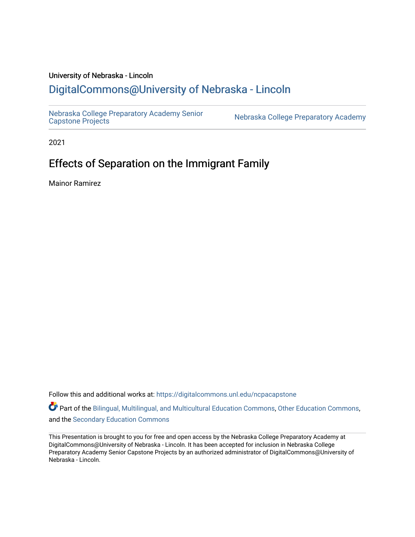### University of Nebraska - Lincoln [DigitalCommons@University of Nebraska - Lincoln](https://digitalcommons.unl.edu/)

[Nebraska College Preparatory Academy Senior](https://digitalcommons.unl.edu/ncpacapstone) 

Nebraska College Preparatory Academy

2021

### Effects of Separation on the Immigrant Family

Mainor Ramirez

Follow this and additional works at: [https://digitalcommons.unl.edu/ncpacapstone](https://digitalcommons.unl.edu/ncpacapstone?utm_source=digitalcommons.unl.edu%2Fncpacapstone%2F217&utm_medium=PDF&utm_campaign=PDFCoverPages) 

Part of the [Bilingual, Multilingual, and Multicultural Education Commons,](https://network.bepress.com/hgg/discipline/785?utm_source=digitalcommons.unl.edu%2Fncpacapstone%2F217&utm_medium=PDF&utm_campaign=PDFCoverPages) [Other Education Commons,](https://network.bepress.com/hgg/discipline/811?utm_source=digitalcommons.unl.edu%2Fncpacapstone%2F217&utm_medium=PDF&utm_campaign=PDFCoverPages) and the [Secondary Education Commons](https://network.bepress.com/hgg/discipline/1382?utm_source=digitalcommons.unl.edu%2Fncpacapstone%2F217&utm_medium=PDF&utm_campaign=PDFCoverPages) 

This Presentation is brought to you for free and open access by the Nebraska College Preparatory Academy at DigitalCommons@University of Nebraska - Lincoln. It has been accepted for inclusion in Nebraska College Preparatory Academy Senior Capstone Projects by an authorized administrator of DigitalCommons@University of Nebraska - Lincoln.